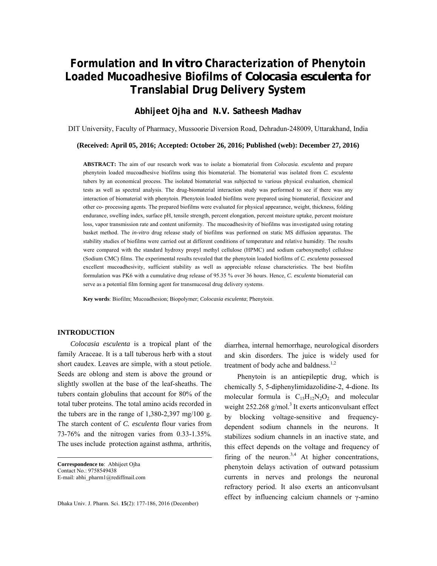# **Formulation and** *In vitro* **Characterization of Phenytoin Loaded Mucoadhesive Biofilms of** *Colocasia esculenta* **for Translabial Drug Delivery System**

# **Abhijeet Ojha and N.V. Satheesh Madhav**

DIT University, Faculty of Pharmacy, Mussoorie Diversion Road, Dehradun-248009, Uttarakhand, India

**(Received: April 05, 2016; Accepted: October 26, 2016; Published (web): December 27, 2016)** 

**ABSTRACT:** The aim of our research work was to isolate a biomaterial from *Colocasia. esculenta* and prepare phenytoin loaded mucoadhesive biofilms using this biomaterial. The biomaterial was isolated from *C. esculenta*  tubers by an economical process. The isolated biomaterial was subjected to various physical evaluation, chemical tests as well as spectral analysis. The drug-biomaterial interaction study was performed to see if there was any interaction of biomaterial with phenytoin. Phenytoin loaded biofilms were prepared using biomaterial, flexicizer and other co- processing agents. The prepared biofilms were evaluated for physical appearance, weight, thickness, folding endurance, swelling index, surface pH, tensile strength, percent elongation, percent moisture uptake, percent moisture loss, vapor transmission rate and content uniformity. The mucoadhesivity of biofilms was investigated using rotating basket method. The *in-vitro* drug release study of biofilms was performed on static MS diffusion apparatus. The stability studies of biofilms were carried out at different conditions of temperature and relative humidity. The results were compared with the standard hydroxy propyl methyl cellulose (HPMC) and sodium carboxymethyl cellulose (Sodium CMC) films. The experimental results revealed that the phenytoin loaded biofilms of *C. esculenta* possessed excellent mucoadhesivity, sufficient stability as well as appreciable release characteristics. The best biofilm formulation was PK6 with a cumulative drug release of 95.35 % over 36 hours. Hence, *C. esculenta* biomaterial can serve as a potential film forming agent for transmucosal drug delivery systems.

**Key words**: Biofilm; Mucoadhesion; Biopolymer; *Colocasia esculenta*; Phenytoin.

## **INTRODUCTION**

 *Colocasia esculenta* is a tropical plant of the family Araceae. It is a tall tuberous herb with a stout short caudex. Leaves are simple, with a stout petiole. Seeds are oblong and stem is above the ground or slightly swollen at the base of the leaf-sheaths. The tubers contain globulins that account for 80% of the total tuber proteins. The total amino acids recorded in the tubers are in the range of 1,380-2,397 mg/100 g. The starch content of *C. esculenta* flour varies from 73-76% and the nitrogen varies from 0.33-1.35%. The uses include protection against asthma, arthritis,

Dhaka Univ. J. Pharm. Sci. **15**(2): 177-186, 2016 (December)

diarrhea, internal hemorrhage, neurological disorders and skin disorders. The juice is widely used for treatment of body ache and baldness. $1,2$ 

 Phenytoin is an antiepileptic drug, which is chemically 5, 5-diphenylimidazolidine-2, 4-dione. Its molecular formula is  $C_{15}H_{12}N_2O_2$  and molecular weight  $252.268$  g/mol.<sup>3</sup> It exerts anticonvulsant effect by blocking voltage-sensitive and frequencydependent sodium channels in the neurons. It stabilizes sodium channels in an inactive state, and this effect depends on the voltage and frequency of firing of the neuron.<sup>3,4</sup> At higher concentrations, phenytoin delays activation of outward potassium currents in nerves and prolongs the neuronal refractory period. It also exerts an anticonvulsant effect by influencing calcium channels or  $\gamma$ -amino

**Correspondence to**: Abhijeet Ojha Contact No.: 9758549438 E-mail: abhi\_pharm1@rediffmail.com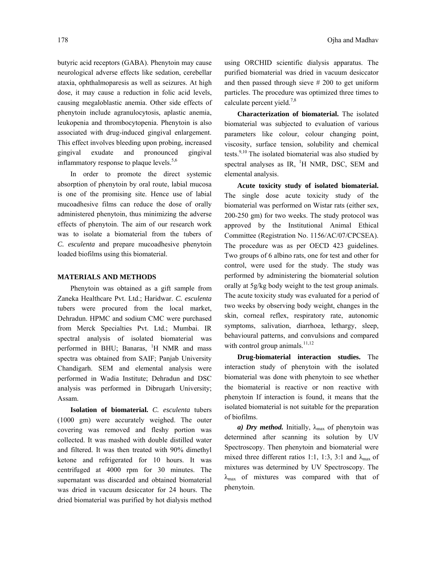butyric acid receptors (GABA). Phenytoin may cause neurological adverse effects like sedation, cerebellar ataxia, ophthalmoparesis as well as seizures. At high dose, it may cause a reduction in folic acid levels, causing megaloblastic anemia. Other side effects of phenytoin include agranulocytosis, aplastic anemia, leukopenia and thrombocytopenia. Phenytoin is also associated with drug-induced gingival enlargement. This effect involves bleeding upon probing, increased gingival exudate and pronounced gingival inflammatory response to plaque levels. $5,6$ 

 In order to promote the direct systemic absorption of phenytoin by oral route, labial mucosa is one of the promising site. Hence use of labial mucoadhesive films can reduce the dose of orally administered phenytoin, thus minimizing the adverse effects of phenytoin. The aim of our research work was to isolate a biomaterial from the tubers of *C. esculenta* and prepare mucoadhesive phenytoin loaded biofilms using this biomaterial.

#### **MATERIALS AND METHODS**

 Phenytoin was obtained as a gift sample from Zaneka Healthcare Pvt. Ltd.; Haridwar. *C. esculenta* tubers were procured from the local market, Dehradun. HPMC and sodium CMC were purchased from Merck Specialties Pvt. Ltd.; Mumbai. IR spectral analysis of isolated biomaterial was performed in BHU; Banaras, <sup>1</sup>H NMR and mass spectra was obtained from SAIF; Panjab University Chandigarh. SEM and elemental analysis were performed in Wadia Institute; Dehradun and DSC analysis was performed in Dibrugarh University; Assam.

**Isolation of biomaterial.** *C. esculenta* tubers (1000 gm) were accurately weighed. The outer covering was removed and fleshy portion was collected. It was mashed with double distilled water and filtered. It was then treated with 90% dimethyl ketone and refrigerated for 10 hours. It was centrifuged at 4000 rpm for 30 minutes. The supernatant was discarded and obtained biomaterial was dried in vacuum desiccator for 24 hours. The dried biomaterial was purified by hot dialysis method

using ORCHID scientific dialysis apparatus. The purified biomaterial was dried in vacuum desiccator and then passed through sieve # 200 to get uniform particles. The procedure was optimized three times to calculate percent yield. $7,8$ 

 **Characterization of biomaterial.** The isolated biomaterial was subjected to evaluation of various parameters like colour, colour changing point, viscosity, surface tension, solubility and chemical tests. $9,10$  The isolated biomaterial was also studied by spectral analyses as IR,  ${}^{1}H$  NMR, DSC, SEM and elemental analysis.

 **Acute toxicity study of isolated biomaterial.**  The single dose acute toxicity study of the biomaterial was performed on Wistar rats (either sex, 200-250 gm) for two weeks. The study protocol was approved by the Institutional Animal Ethical Committee (Registration No. 1156/AC/07/CPCSEA). The procedure was as per OECD 423 guidelines. Two groups of 6 albino rats, one for test and other for control, were used for the study. The study was performed by administering the biomaterial solution orally at 5g/kg body weight to the test group animals. The acute toxicity study was evaluated for a period of two weeks by observing body weight, changes in the skin, corneal reflex, respiratory rate, autonomic symptoms, salivation, diarrhoea, lethargy, sleep, behavioural patterns, and convulsions and compared with control group animals. $11,12$ 

**Drug-biomaterial interaction studies.** The interaction study of phenytoin with the isolated biomaterial was done with phenytoin to see whether the biomaterial is reactive or non reactive with phenytoin If interaction is found, it means that the isolated biomaterial is not suitable for the preparation of biofilms.

*a)* Dry method. Initially,  $\lambda_{\text{max}}$  of phenytoin was determined after scanning its solution by UV Spectroscopy. Then phenytoin and biomaterial were mixed three different ratios 1:1, 1:3, 3:1 and  $\lambda_{\text{max}}$  of mixtures was determined by UV Spectroscopy. The  $\lambda_{\text{max}}$  of mixtures was compared with that of phenytoin.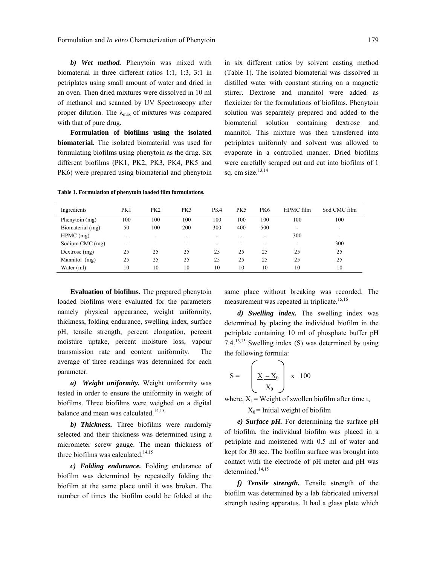*b) Wet method.* Phenytoin was mixed with biomaterial in three different ratios 1:1, 1:3, 3:1 in petriplates using small amount of water and dried in an oven. Then dried mixtures were dissolved in 10 ml of methanol and scanned by UV Spectroscopy after proper dilution. The  $\lambda_{\text{max}}$  of mixtures was compared with that of pure drug.

 **Formulation of biofilms using the isolated biomaterial.** The isolated biomaterial was used for formulating biofilms using phenytoin as the drug. Six different biofilms (PK1, PK2, PK3, PK4, PK5 and PK6) were prepared using biomaterial and phenytoin in six different ratios by solvent casting method (Table 1). The isolated biomaterial was dissolved in distilled water with constant stirring on a magnetic stirrer. Dextrose and mannitol were added as flexicizer for the formulations of biofilms. Phenytoin solution was separately prepared and added to the biomaterial solution containing dextrose and mannitol. This mixture was then transferred into petriplates uniformly and solvent was allowed to evaporate in a controlled manner. Dried biofilms were carefully scraped out and cut into biofilms of 1 sq. cm size. $13,14$ 

| Table 1. Formulation of phenytoin loaded film formulations. |  |  |  |
|-------------------------------------------------------------|--|--|--|
|-------------------------------------------------------------|--|--|--|

| Ingredients      | PK1 | PK <sub>2</sub> | PK3 | PK4 | PK5 | PK6 | HPMC film | Sod CMC film             |
|------------------|-----|-----------------|-----|-----|-----|-----|-----------|--------------------------|
| Phenytoin (mg)   | 100 | 100             | 100 | 100 | 100 | 100 | 100       | 100                      |
| Biomaterial (mg) | 50  | 100             | 200 | 300 | 400 | 500 |           | $\overline{\phantom{0}}$ |
| $HPMC$ (mg)      |     |                 | -   |     |     |     | 300       |                          |
| Sodium CMC (mg)  | -   |                 |     | -   | -   |     |           | 300                      |
| Dextrose (mg)    | 25  | 25              | 25  | 25  | 25  | 25  | 25        | 25                       |
| Mannitol (mg)    | 25  | 25              | 25  | 25  | 25  | 25  | 25        | 25                       |
| Water (ml)       | 10  | 10              | 10  | 10  | 10  | 10  | 10        | 10                       |

 **Evaluation of biofilms.** The prepared phenytoin loaded biofilms were evaluated for the parameters namely physical appearance, weight uniformity, thickness, folding endurance, swelling index, surface pH, tensile strength, percent elongation, percent moisture uptake, percent moisture loss, vapour transmission rate and content uniformity. The average of three readings was determined for each parameter.

 *a) Weight uniformity.* Weight uniformity was tested in order to ensure the uniformity in weight of biofilms. Three biofilms were weighed on a digital balance and mean was calculated.<sup>14,15</sup>

 *b) Thickness.* Three biofilms were randomly selected and their thickness was determined using a micrometer screw gauge. The mean thickness of three biofilms was calculated. $14,15$ 

 *c) Folding endurance.* Folding endurance of biofilm was determined by repeatedly folding the biofilm at the same place until it was broken. The number of times the biofilm could be folded at the same place without breaking was recorded. The measurement was repeated in triplicate.<sup>15,16</sup>

 *d) Swelling index.* The swelling index was determined by placing the individual biofilm in the petriplate containing 10 ml of phosphate buffer pH 7.4.<sup>13,15</sup> Swelling index (S) was determined by using the following formula:

$$
S = \begin{bmatrix} \frac{X_t - X_0}{X_0} & x & 100 \end{bmatrix}
$$

where,  $X_t$  = Weight of swollen biofilm after time t,

# $X_0$  = Initial weight of biofilm

 *e) Surface pH.* For determining the surface pH of biofilm, the individual biofilm was placed in a petriplate and moistened with 0.5 ml of water and kept for 30 sec. The biofilm surface was brought into contact with the electrode of pH meter and pH was determined.<sup>14,15</sup>

 *f) Tensile strength.* Tensile strength of the biofilm was determined by a lab fabricated universal strength testing apparatus. It had a glass plate which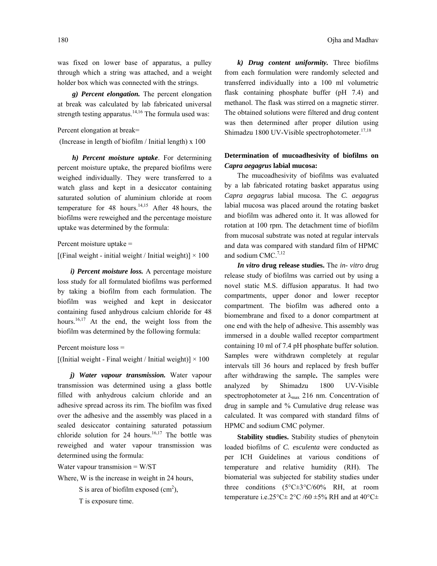was fixed on lower base of apparatus, a pulley through which a string was attached, and a weight holder box which was connected with the strings.

 *g) Percent elongation.* The percent elongation at break was calculated by lab fabricated universal strength testing apparatus. $14,16$  The formula used was:

Percent elongation at break=

(Increase in length of biofilm / Initial length) x 100

 *h) Percent moisture uptake*. For determining percent moisture uptake, the prepared biofilms were weighed individually. They were transferred to a watch glass and kept in a desiccator containing saturated solution of aluminium chloride at room temperature for 48 hours.<sup>14,15</sup> After 48 hours, the biofilms were reweighed and the percentage moisture uptake was determined by the formula:

Percent moisture uptake =

[(Final weight - initial weight / Initial weight)]  $\times$  100

 *i) Percent moisture loss.* A percentage moisture loss study for all formulated biofilms was performed by taking a biofilm from each formulation. The biofilm was weighed and kept in desiccator containing fused anhydrous calcium chloride for 48 hours.<sup>16,17</sup> At the end, the weight loss from the biofilm was determined by the following formula:

Percent moisture loss =

[(Initial weight - Final weight / Initial weight)]  $\times$  100

 *j) Water vapour transmission.* Water vapour transmission was determined using a glass bottle filled with anhydrous calcium chloride and an adhesive spread across its rim. The biofilm was fixed over the adhesive and the assembly was placed in a sealed desiccator containing saturated potassium chloride solution for 24 hours.<sup>16,17</sup> The bottle was reweighed and water vapour transmission was determined using the formula:

Water vapour transmision = W/ST

Where, W is the increase in weight in 24 hours,

S is area of biofilm exposed  $(cm<sup>2</sup>)$ ,

T is exposure time.

 *k) Drug content uniformity.* Three biofilms from each formulation were randomly selected and transferred individually into a 100 ml volumetric flask containing phosphate buffer (pH 7.4) and methanol. The flask was stirred on a magnetic stirrer. The obtained solutions were filtered and drug content was then determined after proper dilution using Shimadzu 1800 UV-Visible spectrophotometer. $17,18$ 

# **Determination of mucoadhesivity of biofilms on**  *Capra aegagrus* **labial mucosa:**

 The mucoadhesivity of biofilms was evaluated by a lab fabricated rotating basket apparatus using *Capra aegagrus* labial mucosa. The *C. aegagrus* labial mucosa was placed around the rotating basket and biofilm was adhered onto it. It was allowed for rotation at 100 rpm. The detachment time of biofilm from mucosal substrate was noted at regular intervals and data was compared with standard film of HPMC and sodium CMC. $^{7,12}$ 

 *In vitro* **drug release studies.** The *in- vitro* drug release study of biofilms was carried out by using a novel static M.S. diffusion apparatus. It had two compartments, upper donor and lower receptor compartment. The biofilm was adhered onto a biomembrane and fixed to a donor compartment at one end with the help of adhesive. This assembly was immersed in a double walled receptor compartment containing 10 ml of 7.4 pH phosphate buffer solution. Samples were withdrawn completely at regular intervals till 36 hours and replaced by fresh buffer after withdrawing the sample**.** The samples were analyzed by Shimadzu 1800 UV-Visible spectrophotometer at  $\lambda_{\text{max}}$  216 nm. Concentration of drug in sample and % Cumulative drug release was calculated. It was compared with standard films of HPMC and sodium CMC polymer.

**Stability studies.** Stability studies of phenytoin loaded biofilms of *C. esculenta* were conducted as per ICH Guidelines at various conditions of temperature and relative humidity (RH). The biomaterial was subjected for stability studies under three conditions (5°C±3°C/60% RH, at room temperature i.e.25°C $\pm$  2°C /60  $\pm$ 5% RH and at 40°C $\pm$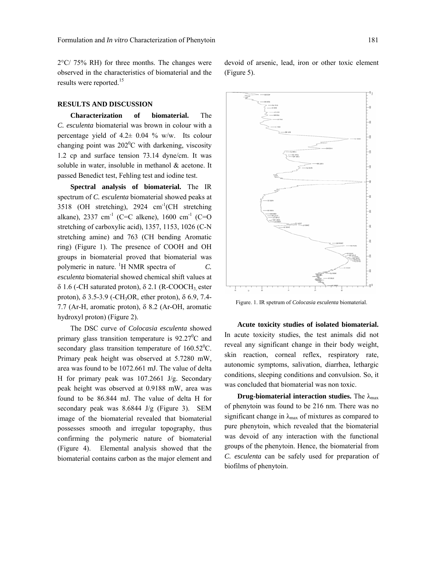2°C/ 75% RH) for three months. The changes were observed in the characteristics of biomaterial and the results were reported.<sup>15</sup>

#### **RESULTS AND DISCUSSION**

 **Characterization of biomaterial.** The *C. esculenta* biomaterial was brown in colour with a percentage yield of  $4.2 \pm 0.04$  % w/w. Its colour changing point was  $202^{\circ}$ C with darkening, viscosity 1.2 cp and surface tension 73.14 dyne/cm. It was soluble in water, insoluble in methanol & acetone. It passed Benedict test, Fehling test and iodine test.

 **Spectral analysis of biomaterial.** The IR spectrum of *C. esculenta* biomaterial showed peaks at 3518 (OH stretching), 2924 cm-1(CH stretching alkane), 2337 cm<sup>-1</sup> (C=C alkene), 1600 cm<sup>-1</sup> (C=O stretching of carboxylic acid), 1357, 1153, 1026 (C-N stretching amine) and 763 (CH bending Aromatic ring) (Figure 1). The presence of COOH and OH groups in biomaterial proved that biomaterial was polymeric in nature.  ${}^{1}H$  NMR spectra of  $C$ . *esculenta* biomaterial showed chemical shift values at δ 1.6 (-CH saturated proton), δ 2.1 (R-COOCH<sub>3</sub> ester proton), δ 3.5-3.9 (-CH<sub>3</sub>OR, ether proton), δ 6.9, 7.4-7.7 (Ar-H, aromatic proton), δ 8.2 (Ar-OH, aromatic hydroxyl proton) (Figure 2).

 The DSC curve of *Colocasia esculenta* showed primary glass transition temperature is  $92.27^{\circ}$ C and secondary glass transition temperature of  $160.52^{\circ}$ C. Primary peak height was observed at 5.7280 mW, area was found to be 1072.661 mJ. The value of delta H for primary peak was 107.2661 J/g. Secondary peak height was observed at 0.9188 mW, area was found to be 86.844 mJ. The value of delta H for secondary peak was 8.6844 J/g (Figure 3).SEM image of the biomaterial revealed that biomaterial possesses smooth and irregular topography, thus confirming the polymeric nature of biomaterial (Figure 4). Elemental analysis showed that the biomaterial contains carbon as the major element and

devoid of arsenic, lead, iron or other toxic element (Figure 5).



Figure. 1. IR spetrum of *Colocasia esculenta* biomaterial.

 **Acute toxicity studies of isolated biomaterial.**  In acute toxicity studies, the test animals did not reveal any significant change in their body weight, skin reaction, corneal reflex, respiratory rate, autonomic symptoms, salivation, diarrhea, lethargic conditions, sleeping conditions and convulsion. So, it was concluded that biomaterial was non toxic.

**Drug-biomaterial interaction studies.** The λ<sub>max</sub> of phenytoin was found to be 216 nm. There was no significant change in  $\lambda_{\text{max}}$  of mixtures as compared to pure phenytoin, which revealed that the biomaterial was devoid of any interaction with the functional groups of the phenytoin. Hence, the biomaterial from *C. esculenta* can be safely used for preparation of biofilms of phenytoin.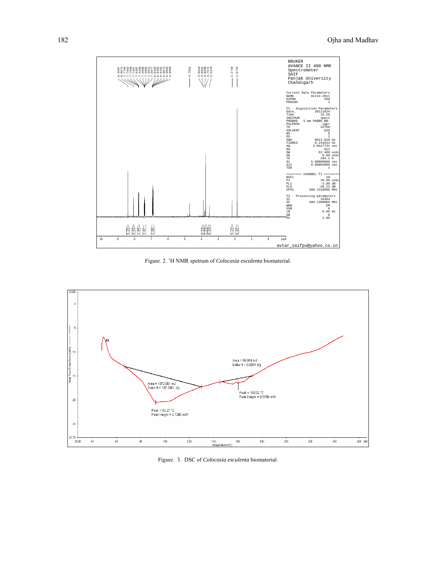

Figure. 2. 1 H NMR spetrum of *Colocasia esculenta* biomaterial.



Figure. 3. DSC of *Colocasia esculenta* biomaterial.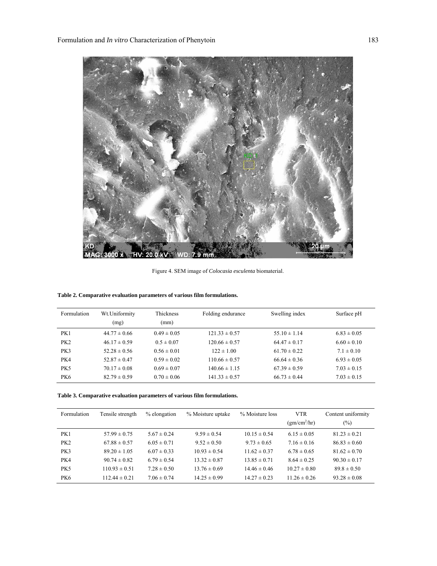

Figure 4. SEM image of *Colocasia esculenta* biomaterial.

# **Table 2. Comparative evaluation parameters of various film formulations.**

| Formulation     | Wt.Uniformity<br>(mg) | Thickness<br>(mm) | Folding endurance | Swelling index   | Surface pH      |
|-----------------|-----------------------|-------------------|-------------------|------------------|-----------------|
| PK1             | $44.77 \pm 0.66$      | $0.49 \pm 0.05$   | $121.33 \pm 0.57$ | $55.10 \pm 1.14$ | $6.83 \pm 0.05$ |
| PK <sub>2</sub> | $46.17 \pm 0.59$      | $0.5 \pm 0.07$    | $120.66 \pm 0.57$ | $64.47 \pm 0.17$ | $6.60 \pm 0.10$ |
| PK3             | $52.28 \pm 0.56$      | $0.56 \pm 0.01$   | $122 \pm 1.00$    | $61.70 \pm 0.22$ | $7.1 \pm 0.10$  |
| PK4             | $52.87 \pm 0.47$      | $0.59 \pm 0.02$   | $110.66 \pm 0.57$ | $66.64 \pm 0.36$ | $6.93 \pm 0.05$ |
| PK <sub>5</sub> | $70.17 \pm 0.08$      | $0.69 \pm 0.07$   | $140.66 \pm 1.15$ | $67.39 \pm 0.59$ | $7.03 \pm 0.15$ |
| PK <sub>6</sub> | $82.79 \pm 0.59$      | $0.70 \pm 0.06$   | $141.33 \pm 0.57$ | $66.73 \pm 0.44$ | $7.03 \pm 0.15$ |

**Table 3. Comparative evaluation parameters of various film formulations.** 

| Formulation     | Tensile strength  | % elongation    | % Moisture uptake | % Moisture loss  | <b>VTR</b>               | Content uniformity |
|-----------------|-------------------|-----------------|-------------------|------------------|--------------------------|--------------------|
|                 |                   |                 |                   |                  | (gm/cm <sup>2</sup> /hr) | $(\%)$             |
| PK1             | $57.99 \pm 0.75$  | $5.67 \pm 0.24$ | $9.59 \pm 0.54$   | $10.15 \pm 0.54$ | $6.15 \pm 0.05$          | $81.23 \pm 0.21$   |
| PK <sub>2</sub> | $67.88 \pm 0.57$  | $6.05 \pm 0.71$ | $9.52 \pm 0.50$   | $9.73 \pm 0.65$  | $7.16 \pm 0.16$          | $86.83 \pm 0.60$   |
| PK3             | $89.20 \pm 1.05$  | $6.07 \pm 0.33$ | $10.93 \pm 0.54$  | $11.62 \pm 0.37$ | $6.78 \pm 0.65$          | $81.62 \pm 0.70$   |
| PK4             | $90.74 \pm 0.82$  | $6.79 \pm 0.54$ | $13.32 \pm 0.87$  | $13.85 \pm 0.71$ | $8.64 \pm 0.25$          | $90.30 \pm 0.17$   |
| PK <sub>5</sub> | $110.93 \pm 0.51$ | $7.28 \pm 0.50$ | $13.76 \pm 0.69$  | $14.46 \pm 0.46$ | $10.27 \pm 0.80$         | $89.8 \pm 0.50$    |
| PK6             | $112.44 \pm 0.21$ | $7.06 \pm 0.74$ | $14.25 \pm 0.99$  | $14.27 \pm 0.23$ | $11.26 \pm 0.26$         | $93.28 \pm 0.08$   |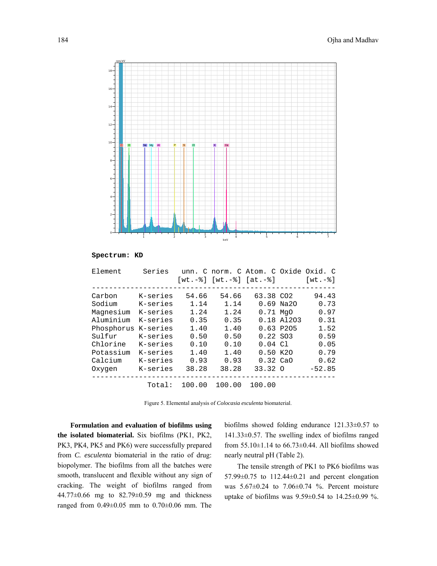

# **Spectrum: KD**

| Element    | Series   |        |        | unn. C norm. C Atom. C Oxide Oxid. C<br>[wt.-%] [wt.-%] [at.-%] |            | $[wt.-8]$ |
|------------|----------|--------|--------|-----------------------------------------------------------------|------------|-----------|
| Carbon     | K-series | 54.66  | 54.66  | 63.38 CO2                                                       |            | 94.43     |
|            |          |        |        |                                                                 |            |           |
| Sodium     | K-series | 1.14   | 1.14   | $0.69$ Na20                                                     |            | 0.73      |
| Magnesium  | K-series | 1.24   | 1.24   | $0.71$ MgO                                                      |            | 0.97      |
| Aluminium  | K-series | 0.35   | 0.35   |                                                                 | 0.18 A1203 | 0.31      |
| Phosphorus | K-series | 1.40   | 1.40   | 0.63 P205                                                       |            | 1.52      |
| Sulfur     | K-series | 0.50   | 0.50   | 0.22S                                                           |            | 0.59      |
| Chlorine   | K-series | 0.10   | 0.10   | $0.04\ C1$                                                      |            | 0.05      |
| Potassium  | K-series | 1.40   | 1.40   | $0.50$ K2O                                                      |            | 0.79      |
| Calcium    | K-series | 0.93   | 0.93   | $0.32$ CaO                                                      |            | 0.62      |
| Oxygen     | K-series | 38.28  | 38.28  | 33.320                                                          |            | $-52.85$  |
|            | Total:   | 100.00 | 100.00 | 100.00                                                          |            |           |

Figure 5. Elemental analysis of *Colocasia esculenta* biomaterial.

**Formulation and evaluation of biofilms using the isolated biomaterial.** Six biofilms (PK1, PK2, PK3, PK4, PK5 and PK6) were successfully prepared from *C. esculenta* biomaterial in the ratio of drug: biopolymer. The biofilms from all the batches were smooth, translucent and flexible without any sign of cracking. The weight of biofilms ranged from 44.77±0.66 mg to 82.79±0.59 mg and thickness ranged from 0.49±0.05 mm to 0.70±0.06 mm. The

biofilms showed folding endurance 121.33±0.57 to 141.33±0.57. The swelling index of biofilms ranged from  $55.10 \pm 1.14$  to  $66.73 \pm 0.44$ . All biofilms showed nearly neutral pH (Table 2).

 The tensile strength of PK1 to PK6 biofilms was 57.99±0.75 to 112.44±0.21 and percent elongation was 5.67±0.24 to 7.06±0.74 %. Percent moisture uptake of biofilms was 9.59±0.54 to 14.25±0.99 %.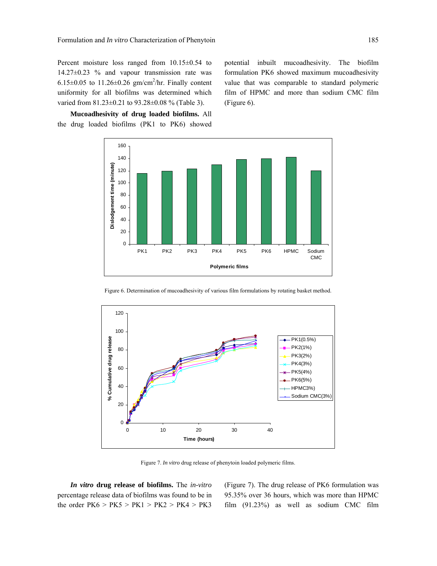Percent moisture loss ranged from 10.15±0.54 to 14.27±0.23 % and vapour transmission rate was 6.15 $\pm$ 0.05 to 11.26 $\pm$ 0.26 gm/cm<sup>2</sup>/hr. Finally content uniformity for all biofilms was determined which varied from 81.23±0.21 to 93.28±0.08 % (Table 3).

**Mucoadhesivity of drug loaded biofilms.** All the drug loaded biofilms (PK1 to PK6) showed potential inbuilt mucoadhesivity. The biofilm formulation PK6 showed maximum mucoadhesivity value that was comparable to standard polymeric film of HPMC and more than sodium CMC film (Figure 6).



Figure 6. Determination of mucoadhesivity of various film formulations by rotating basket method.



Figure 7. *In vitro* drug release of phenytoin loaded polymeric films.

*In vitro* **drug release of biofilms.** The *in-vitro* percentage release data of biofilms was found to be in the order  $PK6 > PK5 > PK1 > PK2 > PK4 > PK3$  (Figure 7). The drug release of PK6 formulation was 95.35% over 36 hours, which was more than HPMC film (91.23%) as well as sodium CMC film